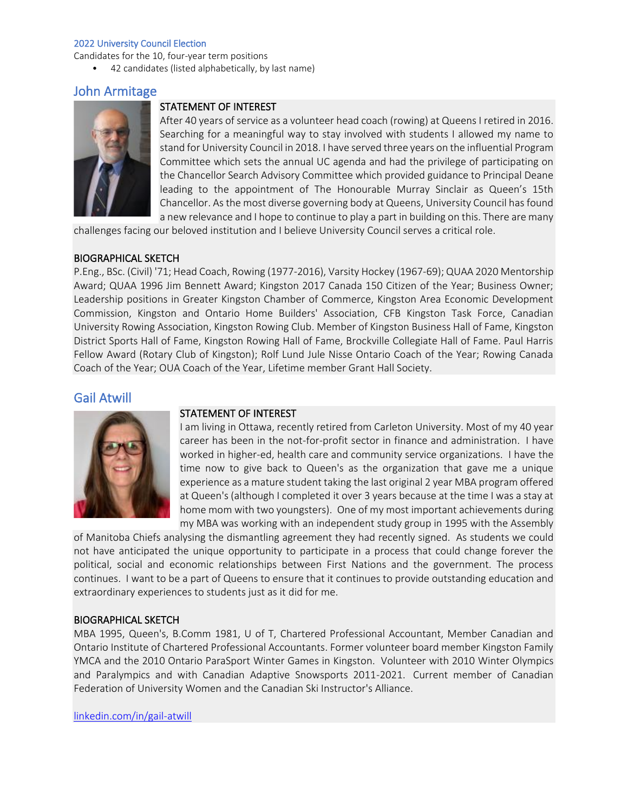Candidates for the 10, four-year term positions

• 42 candidates (listed alphabetically, by last name)

# John Armitage



### STATEMENT OF INTEREST

After 40 years of service as a volunteer head coach (rowing) at Queens I retired in 2016. Searching for a meaningful way to stay involved with students I allowed my name to stand for University Council in 2018. I have served three years on the influential Program Committee which sets the annual UC agenda and had the privilege of participating on the Chancellor Search Advisory Committee which provided guidance to Principal Deane leading to the appointment of The Honourable Murray Sinclair as Queen's 15th Chancellor. As the most diverse governing body at Queens, University Council has found a new relevance and I hope to continue to play a part in building on this. There are many

challenges facing our beloved institution and I believe University Council serves a critical role.

### BIOGRAPHICAL SKETCH

P.Eng., BSc. (Civil) '71; Head Coach, Rowing (1977-2016), Varsity Hockey (1967-69); QUAA 2020 Mentorship Award; QUAA 1996 Jim Bennett Award; Kingston 2017 Canada 150 Citizen of the Year; Business Owner; Leadership positions in Greater Kingston Chamber of Commerce, Kingston Area Economic Development Commission, Kingston and Ontario Home Builders' Association, CFB Kingston Task Force, Canadian University Rowing Association, Kingston Rowing Club. Member of Kingston Business Hall of Fame, Kingston District Sports Hall of Fame, Kingston Rowing Hall of Fame, Brockville Collegiate Hall of Fame. Paul Harris Fellow Award (Rotary Club of Kingston); Rolf Lund Jule Nisse Ontario Coach of the Year; Rowing Canada Coach of the Year; OUA Coach of the Year, Lifetime member Grant Hall Society.

# Gail Atwill



### STATEMENT OF INTEREST

I am living in Ottawa, recently retired from Carleton University. Most of my 40 year career has been in the not-for-profit sector in finance and administration. I have worked in higher-ed, health care and community service organizations. I have the time now to give back to Queen's as the organization that gave me a unique experience as a mature student taking the last original 2 year MBA program offered at Queen's (although I completed it over 3 years because at the time I was a stay at home mom with two youngsters). One of my most important achievements during my MBA was working with an independent study group in 1995 with the Assembly

of Manitoba Chiefs analysing the dismantling agreement they had recently signed. As students we could not have anticipated the unique opportunity to participate in a process that could change forever the political, social and economic relationships between First Nations and the government. The process continues. I want to be a part of Queens to ensure that it continues to provide outstanding education and extraordinary experiences to students just as it did for me.

### BIOGRAPHICAL SKETCH

MBA 1995, Queen's, B.Comm 1981, U of T, Chartered Professional Accountant, Member Canadian and Ontario Institute of Chartered Professional Accountants. Former volunteer board member Kingston Family YMCA and the 2010 Ontario ParaSport Winter Games in Kingston. Volunteer with 2010 Winter Olympics and Paralympics and with Canadian Adaptive Snowsports 2011-2021. Current member of Canadian Federation of University Women and the Canadian Ski Instructor's Alliance.

[linkedin.com/in/gail-atwill](https://www.linkedin.com/in/gail-atwill-12801810)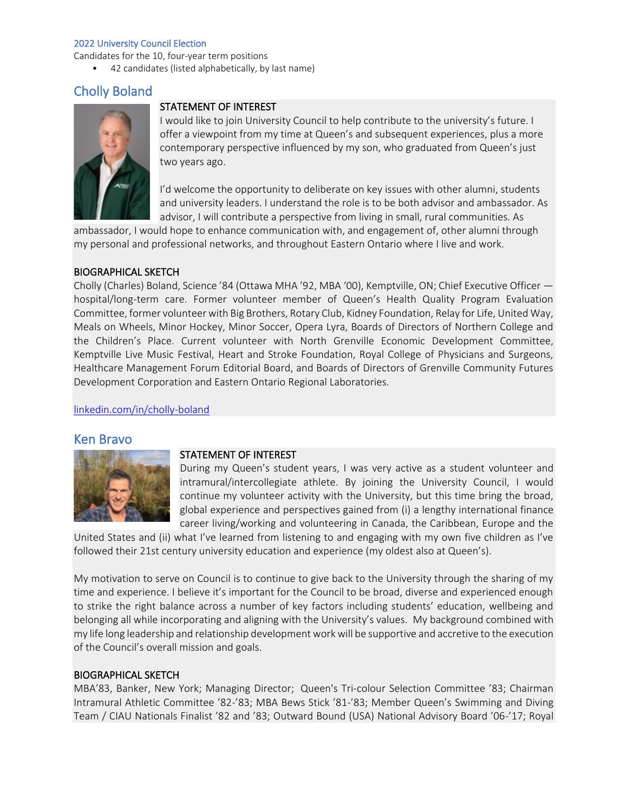Candidates for the 10, four-year term positions

• 42 candidates (listed alphabetically, by last name)

# Cholly Boland



### STATEMENT OF INTEREST

I would like to join University Council to help contribute to the university's future. I offer a viewpoint from my time at Queen's and subsequent experiences, plus a more contemporary perspective influenced by my son, who graduated from Queen's just two years ago.

I'd welcome the opportunity to deliberate on key issues with other alumni, students and university leaders. I understand the role is to be both advisor and ambassador. As advisor, I will contribute a perspective from living in small, rural communities. As

ambassador, I would hope to enhance communication with, and engagement of, other alumni through my personal and professional networks, and throughout Eastern Ontario where I live and work.

### BIOGRAPHICAL SKETCH

Cholly (Charles) Boland, Science '84 (Ottawa MHA '92, MBA '00), Kemptville, ON; Chief Executive Officer hospital/long-term care. Former volunteer member of Queen's Health Quality Program Evaluation Committee, former volunteer with Big Brothers, Rotary Club, Kidney Foundation, Relay for Life, United Way, Meals on Wheels, Minor Hockey, Minor Soccer, Opera Lyra, Boards of Directors of Northern College and the Children's Place. Current volunteer with North Grenville Economic Development Committee, Kemptville Live Music Festival, Heart and Stroke Foundation, Royal College of Physicians and Surgeons, Healthcare Management Forum Editorial Board, and Boards of Directors of Grenville Community Futures Development Corporation and Eastern Ontario Regional Laboratories.

[linkedin.com/in/cholly-boland](https://www.linkedin.com/in/cholly-boland-218a6323/)

### Ken Bravo



### STATEMENT OF INTEREST

During my Queen's student years, I was very active as a student volunteer and intramural/intercollegiate athlete. By joining the University Council, I would continue my volunteer activity with the University, but this time bring the broad, global experience and perspectives gained from (i) a lengthy international finance career living/working and volunteering in Canada, the Caribbean, Europe and the

United States and (ii) what I've learned from listening to and engaging with my own five children as I've followed their 21st century university education and experience (my oldest also at Queen's).

My motivation to serve on Council is to continue to give back to the University through the sharing of my time and experience. I believe it's important for the Council to be broad, diverse and experienced enough to strike the right balance across a number of key factors including students' education, wellbeing and belonging all while incorporating and aligning with the University's values. My background combined with my life long leadership and relationship development work will be supportive and accretive to the execution of the Council's overall mission and goals.

### BIOGRAPHICAL SKETCH

MBA'83, Banker, New York; Managing Director; Queen's Tri-colour Selection Committee '83; Chairman Intramural Athletic Committee '82-'83; MBA Bews Stick '81-'83; Member Queen's Swimming and Diving Team / CIAU Nationals Finalist '82 and '83; Outward Bound (USA) National Advisory Board '06-'17; Royal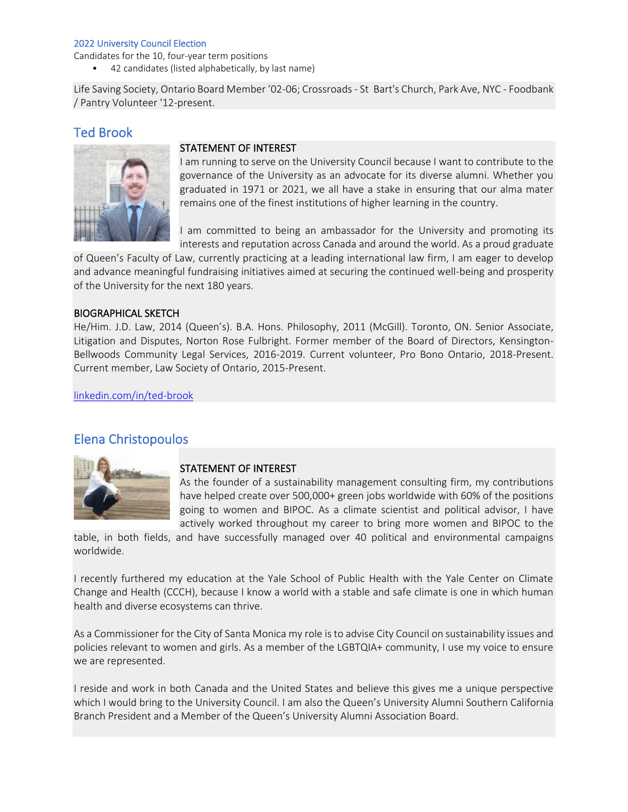Candidates for the 10, four-year term positions

• 42 candidates (listed alphabetically, by last name)

Life Saving Society, Ontario Board Member '02-06; Crossroads - St Bart's Church, Park Ave, NYC - Foodbank / Pantry Volunteer '12-present.

# Ted Brook



## STATEMENT OF INTEREST

I am running to serve on the University Council because I want to contribute to the governance of the University as an advocate for its diverse alumni. Whether you graduated in 1971 or 2021, we all have a stake in ensuring that our alma mater remains one of the finest institutions of higher learning in the country.

I am committed to being an ambassador for the University and promoting its interests and reputation across Canada and around the world. As a proud graduate

of Queen's Faculty of Law, currently practicing at a leading international law firm, I am eager to develop and advance meaningful fundraising initiatives aimed at securing the continued well-being and prosperity of the University for the next 180 years.

### BIOGRAPHICAL SKETCH

He/Him. J.D. Law, 2014 (Queen's). B.A. Hons. Philosophy, 2011 (McGill). Toronto, ON. Senior Associate, Litigation and Disputes, Norton Rose Fulbright. Former member of the Board of Directors, Kensington-Bellwoods Community Legal Services, 2016-2019. Current volunteer, Pro Bono Ontario, 2018-Present. Current member, Law Society of Ontario, 2015-Present.

[linkedin.com/in/ted-brook](https://www.linkedin.com/in/ted-brook-65a8787a/)

# Elena Christopoulos



### STATEMENT OF INTEREST

As the founder of a sustainability management consulting firm, my contributions have helped create over 500,000+ green jobs worldwide with 60% of the positions going to women and BIPOC. As a climate scientist and political advisor, I have actively worked throughout my career to bring more women and BIPOC to the

table, in both fields, and have successfully managed over 40 political and environmental campaigns worldwide.

I recently furthered my education at the Yale School of Public Health with the Yale Center on Climate Change and Health (CCCH), because I know a world with a stable and safe climate is one in which human health and diverse ecosystems can thrive.

As a Commissioner for the City of Santa Monica my role is to advise City Council on sustainability issues and policies relevant to women and girls. As a member of the LGBTQIA+ community, I use my voice to ensure we are represented.

I reside and work in both Canada and the United States and believe this gives me a unique perspective which I would bring to the University Council. I am also the Queen's University Alumni Southern California Branch President and a Member of the Queen's University Alumni Association Board.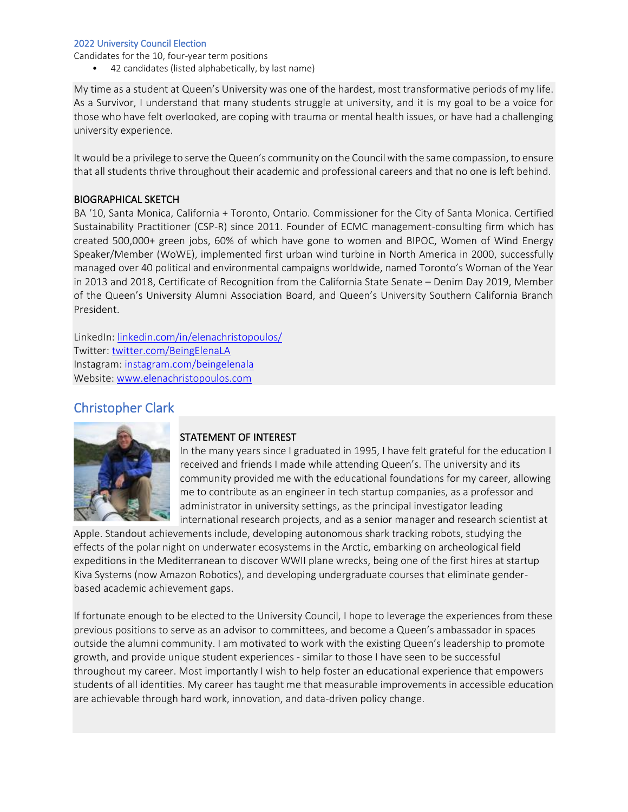Candidates for the 10, four-year term positions

• 42 candidates (listed alphabetically, by last name)

My time as a student at Queen's University was one of the hardest, most transformative periods of my life. As a Survivor, I understand that many students struggle at university, and it is my goal to be a voice for those who have felt overlooked, are coping with trauma or mental health issues, or have had a challenging university experience.

It would be a privilege to serve the Queen's community on the Council with the same compassion, to ensure that all students thrive throughout their academic and professional careers and that no one is left behind.

### BIOGRAPHICAL SKETCH

BA '10, Santa Monica, California + Toronto, Ontario. Commissioner for the City of Santa Monica. Certified Sustainability Practitioner (CSP-R) since 2011. Founder of ECMC management-consulting firm which has created 500,000+ green jobs, 60% of which have gone to women and BIPOC, Women of Wind Energy Speaker/Member (WoWE), implemented first urban wind turbine in North America in 2000, successfully managed over 40 political and environmental campaigns worldwide, named Toronto's Woman of the Year in 2013 and 2018, Certificate of Recognition from the California State Senate – Denim Day 2019, Member of the Queen's University Alumni Association Board, and Queen's University Southern California Branch President.

LinkedIn: linkedin.com/in/elenachristopoulos/ Twitter: [twitter.com/BeingElenaLA](https://twitter.com/BeingElenaLA) Instagram: [instagram.com/beingelenala](https://www.instagram.com/beingelenala/) Website: [www.elenachristopoulos.com](https://www.elenachristopoulos.com/)

# Christopher Clark



### STATEMENT OF INTEREST

In the many years since I graduated in 1995, I have felt grateful for the education I received and friends I made while attending Queen's. The university and its community provided me with the educational foundations for my career, allowing me to contribute as an engineer in tech startup companies, as a professor and administrator in university settings, as the principal investigator leading international research projects, and as a senior manager and research scientist at

Apple. Standout achievements include, developing autonomous shark tracking robots, studying the effects of the polar night on underwater ecosystems in the Arctic, embarking on archeological field expeditions in the Mediterranean to discover WWII plane wrecks, being one of the first hires at startup Kiva Systems (now Amazon Robotics), and developing undergraduate courses that eliminate genderbased academic achievement gaps.

If fortunate enough to be elected to the University Council, I hope to leverage the experiences from these previous positions to serve as an advisor to committees, and become a Queen's ambassador in spaces outside the alumni community. I am motivated to work with the existing Queen's leadership to promote growth, and provide unique student experiences - similar to those I have seen to be successful throughout my career. Most importantly I wish to help foster an educational experience that empowers students of all identities. My career has taught me that measurable improvements in accessible education are achievable through hard work, innovation, and data-driven policy change.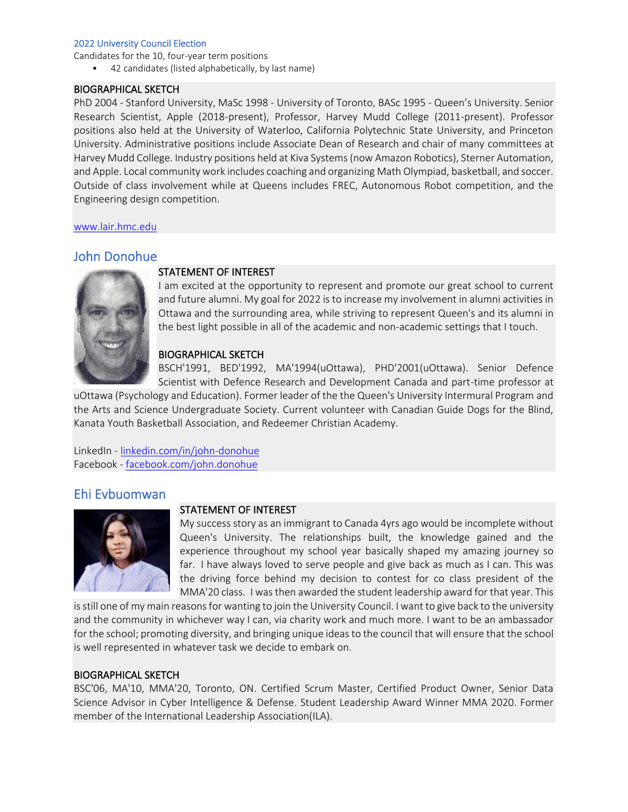Candidates for the 10, four-year term positions

• 42 candidates (listed alphabetically, by last name)

### BIOGRAPHICAL SKETCH

PhD 2004 - Stanford University, MaSc 1998 - University of Toronto, BASc 1995 - Queen's University. Senior Research Scientist, Apple (2018-present), Professor, Harvey Mudd College (2011-present). Professor positions also held at the University of Waterloo, California Polytechnic State University, and Princeton University. Administrative positions include Associate Dean of Research and chair of many committees at Harvey Mudd College. Industry positions held at Kiva Systems (now Amazon Robotics), Sterner Automation, and Apple. Local community work includes coaching and organizing Math Olympiad, basketball, and soccer. Outside of class involvement while at Queens includes FREC, Autonomous Robot competition, and the Engineering design competition.

[www.lair.hmc.edu](https://www.lair.hmc.edu/)

## John Donohue



### STATEMENT OF INTEREST

I am excited at the opportunity to represent and promote our great school to current and future alumni. My goal for 2022 is to increase my involvement in alumni activities in Ottawa and the surrounding area, while striving to represent Queen's and its alumni in the best light possible in all of the academic and non-academic settings that I touch.

### BIOGRAPHICAL SKETCH

BSCH'1991, BED'1992, MA'1994(uOttawa), PHD'2001(uOttawa). Senior Defence Scientist with Defence Research and Development Canada and part-time professor at

uOttawa (Psychology and Education). Former leader of the the Queen's University Intermural Program and the Arts and Science Undergraduate Society. Current volunteer with Canadian Guide Dogs for the Blind, Kanata Youth Basketball Association, and Redeemer Christian Academy.

LinkedIn - [linkedin.com/in/john-donohue](https://www.linkedin.com/in/john-donohue-36b12553/) Facebook - [facebook.com/john.donohue](https://www.facebook.com/john.donohue.142)

## Ehi Evbuomwan



### STATEMENT OF INTEREST

My success story as an immigrant to Canada 4yrs ago would be incomplete without Queen's University. The relationships built, the knowledge gained and the experience throughout my school year basically shaped my amazing journey so far. I have always loved to serve people and give back as much as I can. This was the driving force behind my decision to contest for co class president of the MMA'20 class. I was then awarded the student leadership award for that year. This

is still one of my main reasons for wanting to join the University Council. I want to give back to the university and the community in whichever way I can, via charity work and much more. I want to be an ambassador for the school; promoting diversity, and bringing unique ideas to the council that will ensure that the school is well represented in whatever task we decide to embark on.

### BIOGRAPHICAL SKETCH

BSC'06, MA'10, MMA'20, Toronto, ON. Certified Scrum Master, Certified Product Owner, Senior Data Science Advisor in Cyber Intelligence & Defense. Student Leadership Award Winner MMA 2020. Former member of the International Leadership Association(ILA).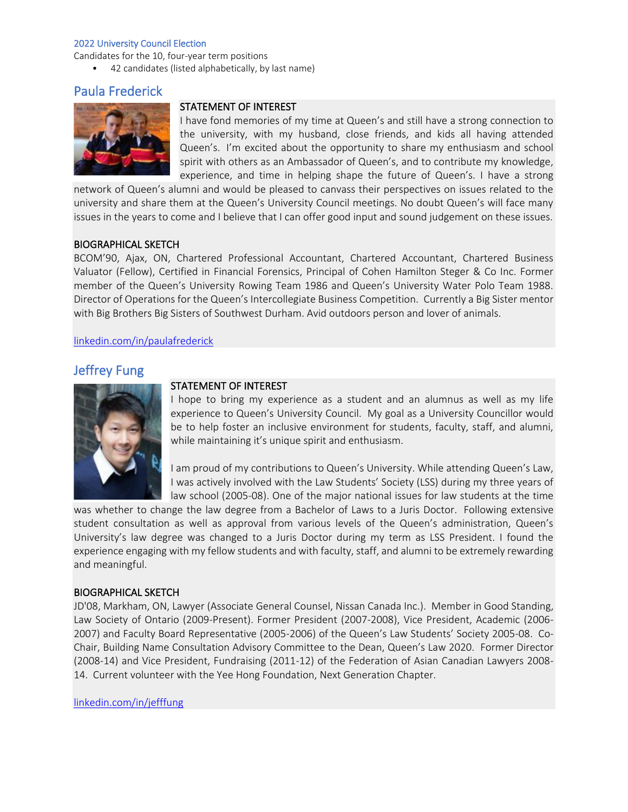Candidates for the 10, four-year term positions

• 42 candidates (listed alphabetically, by last name)

# Paula Frederick



### STATEMENT OF INTEREST

I have fond memories of my time at Queen's and still have a strong connection to the university, with my husband, close friends, and kids all having attended Queen's. I'm excited about the opportunity to share my enthusiasm and school spirit with others as an Ambassador of Queen's, and to contribute my knowledge, experience, and time in helping shape the future of Queen's. I have a strong

network of Queen's alumni and would be pleased to canvass their perspectives on issues related to the university and share them at the Queen's University Council meetings. No doubt Queen's will face many issues in the years to come and I believe that I can offer good input and sound judgement on these issues.

### BIOGRAPHICAL SKETCH

BCOM'90, Ajax, ON, Chartered Professional Accountant, Chartered Accountant, Chartered Business Valuator (Fellow), Certified in Financial Forensics, Principal of Cohen Hamilton Steger & Co Inc. Former member of the Queen's University Rowing Team 1986 and Queen's University Water Polo Team 1988. Director of Operations for the Queen's Intercollegiate Business Competition. Currently a Big Sister mentor with Big Brothers Big Sisters of Southwest Durham. Avid outdoors person and lover of animals.

### [linkedin.com/in/paulafrederick](https://www.linkedin.com/in/paulafrederick)

# Jeffrey Fung



## STATEMENT OF INTEREST

I hope to bring my experience as a student and an alumnus as well as my life experience to Queen's University Council. My goal as a University Councillor would be to help foster an inclusive environment for students, faculty, staff, and alumni, while maintaining it's unique spirit and enthusiasm.

I am proud of my contributions to Queen's University. While attending Queen's Law, I was actively involved with the Law Students' Society (LSS) during my three years of law school (2005-08). One of the major national issues for law students at the time

was whether to change the law degree from a Bachelor of Laws to a Juris Doctor. Following extensive student consultation as well as approval from various levels of the Queen's administration, Queen's University's law degree was changed to a Juris Doctor during my term as LSS President. I found the experience engaging with my fellow students and with faculty, staff, and alumni to be extremely rewarding and meaningful.

### BIOGRAPHICAL SKETCH

JD'08, Markham, ON, Lawyer (Associate General Counsel, Nissan Canada Inc.). Member in Good Standing, Law Society of Ontario (2009-Present). Former President (2007-2008), Vice President, Academic (2006- 2007) and Faculty Board Representative (2005-2006) of the Queen's Law Students' Society 2005-08. Co-Chair, Building Name Consultation Advisory Committee to the Dean, Queen's Law 2020. Former Director (2008-14) and Vice President, Fundraising (2011-12) of the Federation of Asian Canadian Lawyers 2008- 14. Current volunteer with the Yee Hong Foundation, Next Generation Chapter.

[linkedin.com/in/jefffung](https://ca.linkedin.com/in/jefffung)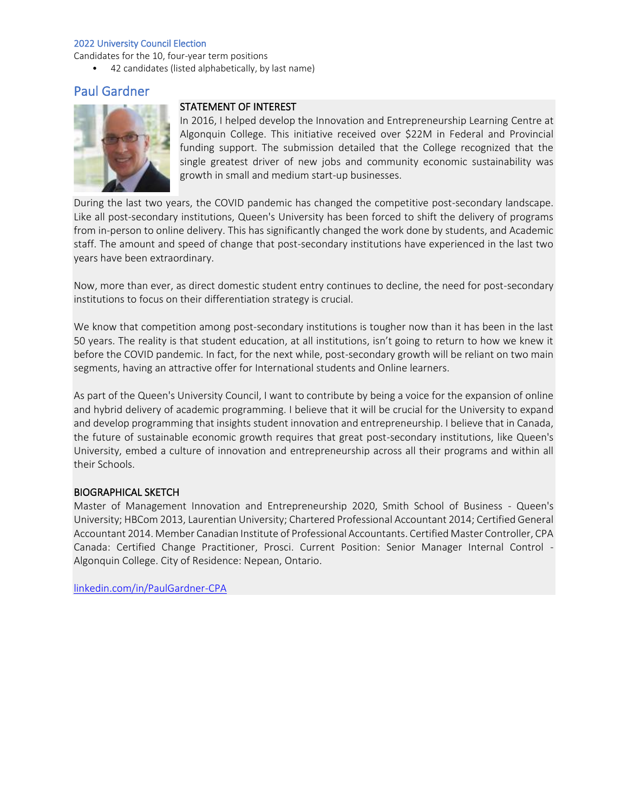Candidates for the 10, four-year term positions

• 42 candidates (listed alphabetically, by last name)

# Paul Gardner



### STATEMENT OF INTEREST

In 2016, I helped develop the Innovation and Entrepreneurship Learning Centre at Algonquin College. This initiative received over \$22M in Federal and Provincial funding support. The submission detailed that the College recognized that the single greatest driver of new jobs and community economic sustainability was growth in small and medium start-up businesses.

During the last two years, the COVID pandemic has changed the competitive post-secondary landscape. Like all post-secondary institutions, Queen's University has been forced to shift the delivery of programs from in-person to online delivery. This has significantly changed the work done by students, and Academic staff. The amount and speed of change that post-secondary institutions have experienced in the last two years have been extraordinary.

Now, more than ever, as direct domestic student entry continues to decline, the need for post-secondary institutions to focus on their differentiation strategy is crucial.

We know that competition among post-secondary institutions is tougher now than it has been in the last 50 years. The reality is that student education, at all institutions, isn't going to return to how we knew it before the COVID pandemic. In fact, for the next while, post-secondary growth will be reliant on two main segments, having an attractive offer for International students and Online learners.

As part of the Queen's University Council, I want to contribute by being a voice for the expansion of online and hybrid delivery of academic programming. I believe that it will be crucial for the University to expand and develop programming that insights student innovation and entrepreneurship. I believe that in Canada, the future of sustainable economic growth requires that great post-secondary institutions, like Queen's University, embed a culture of innovation and entrepreneurship across all their programs and within all their Schools.

### BIOGRAPHICAL SKETCH

Master of Management Innovation and Entrepreneurship 2020, Smith School of Business - Queen's University; HBCom 2013, Laurentian University; Chartered Professional Accountant 2014; Certified General Accountant 2014. Member Canadian Institute of Professional Accountants. Certified Master Controller, CPA Canada: Certified Change Practitioner, Prosci. Current Position: Senior Manager Internal Control - Algonquin College. City of Residence: Nepean, Ontario.

[linkedin.com/in/PaulGardner-CPA](https://www.linkedin.com/in/PaulGardner-CPA/)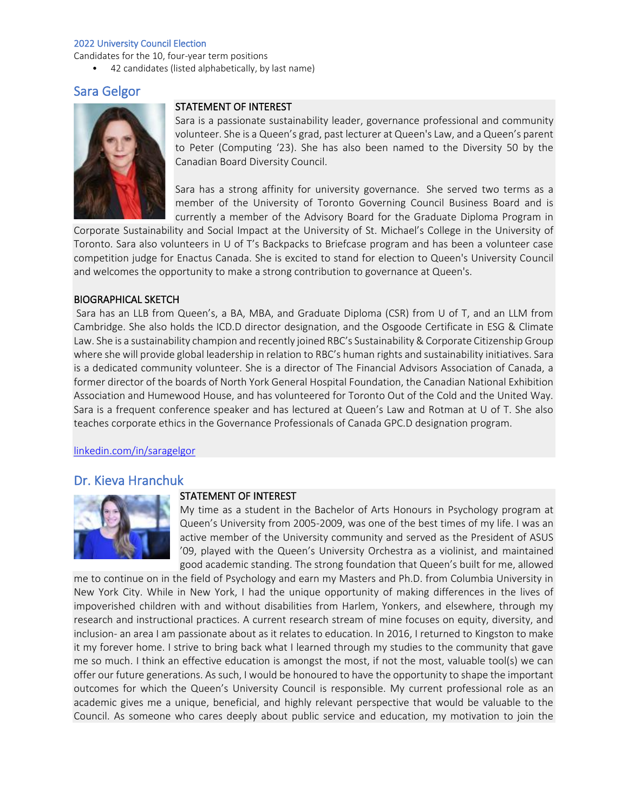Candidates for the 10, four-year term positions

• 42 candidates (listed alphabetically, by last name)

# Sara Gelgor



### STATEMENT OF INTEREST

Sara is a passionate sustainability leader, governance professional and community volunteer. She is a Queen's grad, past lecturer at Queen's Law, and a Queen's parent to Peter (Computing '23). She has also been named to the Diversity 50 by the Canadian Board Diversity Council.

Sara has a strong affinity for university governance. She served two terms as a member of the University of Toronto Governing Council Business Board and is currently a member of the Advisory Board for the Graduate Diploma Program in

Corporate Sustainability and Social Impact at the University of St. Michael's College in the University of Toronto. Sara also volunteers in U of T's Backpacks to Briefcase program and has been a volunteer case competition judge for Enactus Canada. She is excited to stand for election to Queen's University Council and welcomes the opportunity to make a strong contribution to governance at Queen's.

### BIOGRAPHICAL SKETCH

Sara has an LLB from Queen's, a BA, MBA, and Graduate Diploma (CSR) from U of T, and an LLM from Cambridge. She also holds the ICD.D director designation, and the Osgoode Certificate in ESG & Climate Law. She is a sustainability champion and recently joined RBC's Sustainability & Corporate Citizenship Group where she will provide global leadership in relation to RBC's human rights and sustainability initiatives. Sara is a dedicated community volunteer. She is a director of The Financial Advisors Association of Canada, a former director of the boards of North York General Hospital Foundation, the Canadian National Exhibition Association and Humewood House, and has volunteered for Toronto Out of the Cold and the United Way. Sara is a frequent conference speaker and has lectured at Queen's Law and Rotman at U of T. She also teaches corporate ethics in the Governance Professionals of Canada GPC.D designation program.

[linkedin.com/in/saragelgor](https://www.linkedin.com/in/saragelgor/)

## Dr. Kieva Hranchuk



### STATEMENT OF INTEREST

My time as a student in the Bachelor of Arts Honours in Psychology program at Queen's University from 2005-2009, was one of the best times of my life. I was an active member of the University community and served as the President of ASUS '09, played with the Queen's University Orchestra as a violinist, and maintained good academic standing. The strong foundation that Queen's built for me, allowed

me to continue on in the field of Psychology and earn my Masters and Ph.D. from Columbia University in New York City. While in New York, I had the unique opportunity of making differences in the lives of impoverished children with and without disabilities from Harlem, Yonkers, and elsewhere, through my research and instructional practices. A current research stream of mine focuses on equity, diversity, and inclusion- an area I am passionate about as it relates to education. In 2016, I returned to Kingston to make it my forever home. I strive to bring back what I learned through my studies to the community that gave me so much. I think an effective education is amongst the most, if not the most, valuable tool(s) we can offer our future generations. As such, I would be honoured to have the opportunity to shape the important outcomes for which the Queen's University Council is responsible. My current professional role as an academic gives me a unique, beneficial, and highly relevant perspective that would be valuable to the Council. As someone who cares deeply about public service and education, my motivation to join the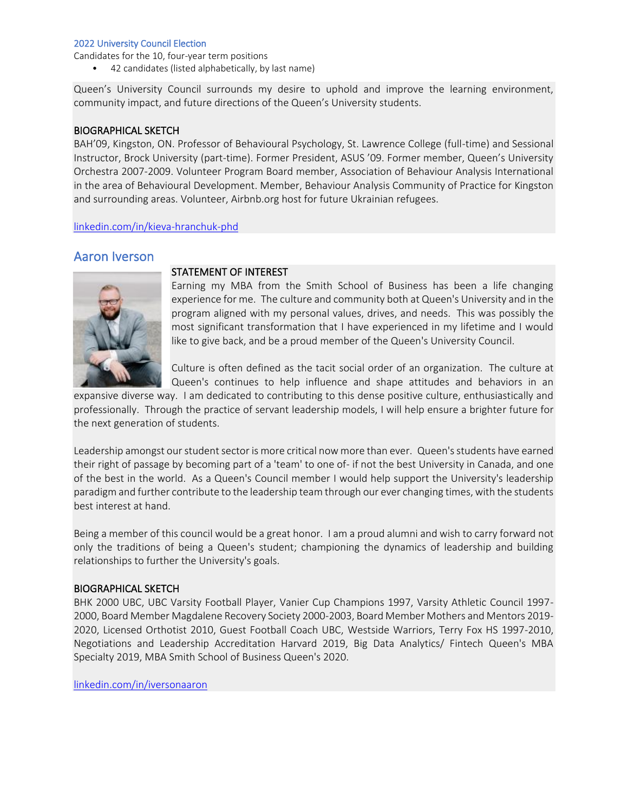Candidates for the 10, four-year term positions

• 42 candidates (listed alphabetically, by last name)

Queen's University Council surrounds my desire to uphold and improve the learning environment, community impact, and future directions of the Queen's University students.

### BIOGRAPHICAL SKETCH

BAH'09, Kingston, ON. Professor of Behavioural Psychology, St. Lawrence College (full-time) and Sessional Instructor, Brock University (part-time). Former President, ASUS '09. Former member, Queen's University Orchestra 2007-2009. Volunteer Program Board member, Association of Behaviour Analysis International in the area of Behavioural Development. Member, Behaviour Analysis Community of Practice for Kingston and surrounding areas. Volunteer, Airbnb.org host for future Ukrainian refugees.

[linkedin.com/in/kieva-hranchuk-phd](https://www.linkedin.com/in/kieva-hranchuk-phd-bcba-d-6ab0086a/)

## Aaron Iverson



### STATEMENT OF INTEREST

Earning my MBA from the Smith School of Business has been a life changing experience for me. The culture and community both at Queen's University and in the program aligned with my personal values, drives, and needs. This was possibly the most significant transformation that I have experienced in my lifetime and I would like to give back, and be a proud member of the Queen's University Council.

Culture is often defined as the tacit social order of an organization. The culture at Queen's continues to help influence and shape attitudes and behaviors in an

expansive diverse way. I am dedicated to contributing to this dense positive culture, enthusiastically and professionally. Through the practice of servant leadership models, I will help ensure a brighter future for the next generation of students.

Leadership amongst our student sector is more critical now more than ever. Queen's students have earned their right of passage by becoming part of a 'team' to one of- if not the best University in Canada, and one of the best in the world. As a Queen's Council member I would help support the University's leadership paradigm and further contribute to the leadership team through our ever changing times, with the students best interest at hand.

Being a member of this council would be a great honor. I am a proud alumni and wish to carry forward not only the traditions of being a Queen's student; championing the dynamics of leadership and building relationships to further the University's goals.

### BIOGRAPHICAL SKETCH

BHK 2000 UBC, UBC Varsity Football Player, Vanier Cup Champions 1997, Varsity Athletic Council 1997- 2000, Board Member Magdalene Recovery Society 2000-2003, Board Member Mothers and Mentors 2019- 2020, Licensed Orthotist 2010, Guest Football Coach UBC, Westside Warriors, Terry Fox HS 1997-2010, Negotiations and Leadership Accreditation Harvard 2019, Big Data Analytics/ Fintech Queen's MBA Specialty 2019, MBA Smith School of Business Queen's 2020.

[linkedin.com/in/iversonaaron](https://www.linkedin.com/in/iversonaaron/)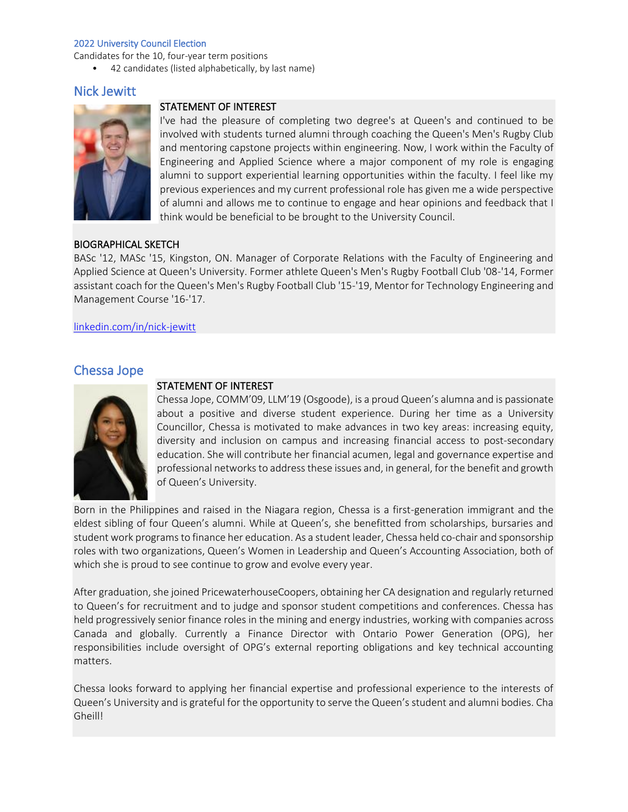Candidates for the 10, four-year term positions

• 42 candidates (listed alphabetically, by last name)

# Nick Jewitt



## STATEMENT OF INTEREST

I've had the pleasure of completing two degree's at Queen's and continued to be involved with students turned alumni through coaching the Queen's Men's Rugby Club and mentoring capstone projects within engineering. Now, I work within the Faculty of Engineering and Applied Science where a major component of my role is engaging alumni to support experiential learning opportunities within the faculty. I feel like my previous experiences and my current professional role has given me a wide perspective of alumni and allows me to continue to engage and hear opinions and feedback that I think would be beneficial to be brought to the University Council.

### BIOGRAPHICAL SKETCH

BASc '12, MASc '15, Kingston, ON. Manager of Corporate Relations with the Faculty of Engineering and Applied Science at Queen's University. Former athlete Queen's Men's Rugby Football Club '08-'14, Former assistant coach for the Queen's Men's Rugby Football Club '15-'19, Mentor for Technology Engineering and Management Course '16-'17.

[linkedin.com/in/nick-jewitt](http://www.linkedin.com/in/nick-jewitt-51613551%C2%A0)

# Chessa Jope



### STATEMENT OF INTEREST

Chessa Jope, COMM'09, LLM'19 (Osgoode), is a proud Queen's alumna and is passionate about a positive and diverse student experience. During her time as a University Councillor, Chessa is motivated to make advances in two key areas: increasing equity, diversity and inclusion on campus and increasing financial access to post-secondary education. She will contribute her financial acumen, legal and governance expertise and professional networks to address these issues and, in general, for the benefit and growth of Queen's University.

Born in the Philippines and raised in the Niagara region, Chessa is a first-generation immigrant and the eldest sibling of four Queen's alumni. While at Queen's, she benefitted from scholarships, bursaries and student work programs to finance her education. As a student leader, Chessa held co-chair and sponsorship roles with two organizations, Queen's Women in Leadership and Queen's Accounting Association, both of which she is proud to see continue to grow and evolve every year.

After graduation, she joined PricewaterhouseCoopers, obtaining her CA designation and regularly returned to Queen's for recruitment and to judge and sponsor student competitions and conferences. Chessa has held progressively senior finance roles in the mining and energy industries, working with companies across Canada and globally. Currently a Finance Director with Ontario Power Generation (OPG), her responsibilities include oversight of OPG's external reporting obligations and key technical accounting matters.

Chessa looks forward to applying her financial expertise and professional experience to the interests of Queen's University and is grateful for the opportunity to serve the Queen's student and alumni bodies. Cha Gheill!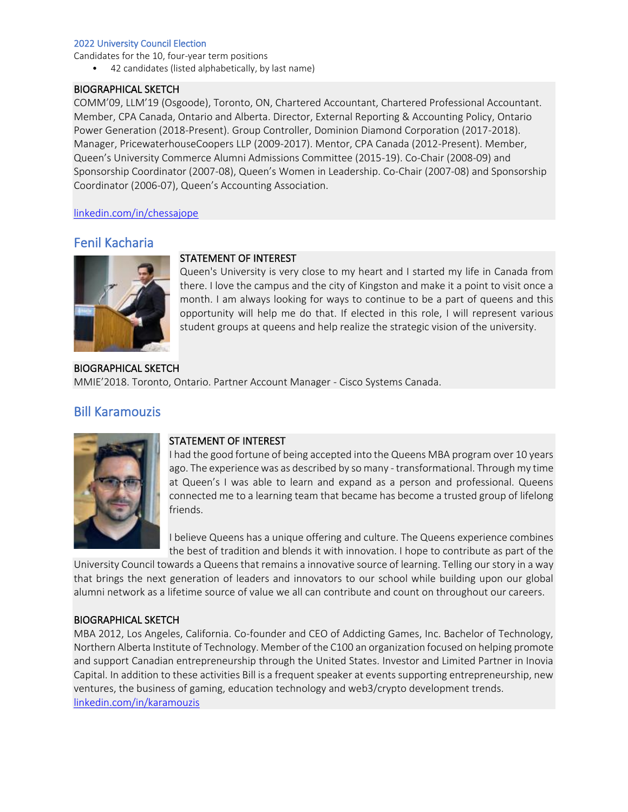Candidates for the 10, four-year term positions

• 42 candidates (listed alphabetically, by last name)

### BIOGRAPHICAL SKETCH

COMM'09, LLM'19 (Osgoode), Toronto, ON, Chartered Accountant, Chartered Professional Accountant. Member, CPA Canada, Ontario and Alberta. Director, External Reporting & Accounting Policy, Ontario Power Generation (2018-Present). Group Controller, Dominion Diamond Corporation (2017-2018). Manager, PricewaterhouseCoopers LLP (2009-2017). Mentor, CPA Canada (2012-Present). Member, Queen's University Commerce Alumni Admissions Committee (2015-19). Co-Chair (2008-09) and Sponsorship Coordinator (2007-08), Queen's Women in Leadership. Co-Chair (2007-08) and Sponsorship Coordinator (2006-07), Queen's Accounting Association.

[linkedin.com/in/chessajope](https://www.linkedin.com/in/chessajope)

# Fenil Kacharia



Queen's University is very close to my heart and I started my life in Canada from there. I love the campus and the city of Kingston and make it a point to visit once a month. I am always looking for ways to continue to be a part of queens and this opportunity will help me do that. If elected in this role, I will represent various student groups at queens and help realize the strategic vision of the university.

BIOGRAPHICAL SKETCH MMIE'2018. Toronto, Ontario. Partner Account Manager - Cisco Systems Canada.

STATEMENT OF INTEREST

# Bill Karamouzis



### STATEMENT OF INTEREST

I had the good fortune of being accepted into the Queens MBA program over 10 years ago. The experience was as described by so many - transformational. Through my time at Queen's I was able to learn and expand as a person and professional. Queens connected me to a learning team that became has become a trusted group of lifelong friends.

I believe Queens has a unique offering and culture. The Queens experience combines the best of tradition and blends it with innovation. I hope to contribute as part of the

University Council towards a Queens that remains a innovative source of learning. Telling our story in a way that brings the next generation of leaders and innovators to our school while building upon our global alumni network as a lifetime source of value we all can contribute and count on throughout our careers.

### BIOGRAPHICAL SKETCH

MBA 2012, Los Angeles, California. Co-founder and CEO of Addicting Games, Inc. Bachelor of Technology, Northern Alberta Institute of Technology. Member of the C100 an organization focused on helping promote and support Canadian entrepreneurship through the United States. Investor and Limited Partner in Inovia Capital. In addition to these activities Bill is a frequent speaker at events supporting entrepreneurship, new ventures, the business of gaming, education technology and web3/crypto development trends. [linkedin.com/in/karamouzis](https://www.linkedin.com/in/karamouzis/)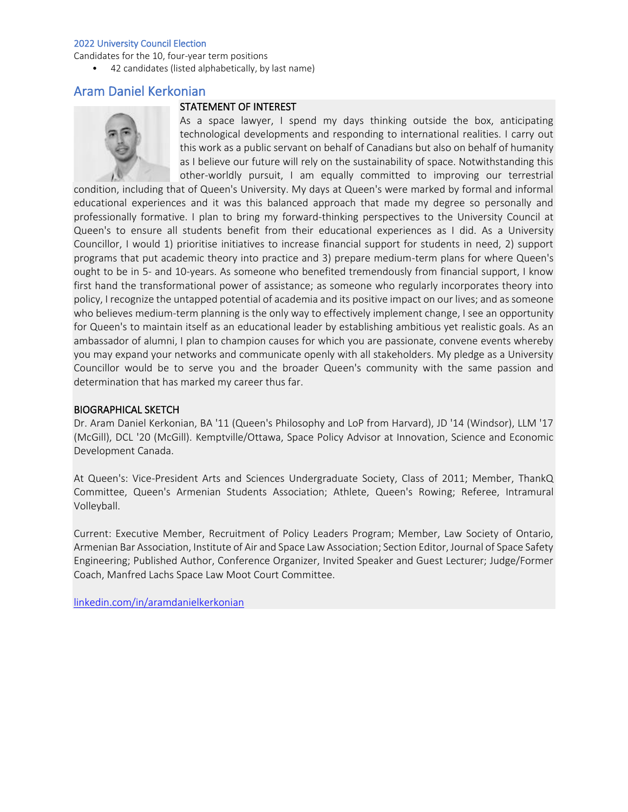Candidates for the 10, four-year term positions

• 42 candidates (listed alphabetically, by last name)

## Aram Daniel Kerkonian

### STATEMENT OF INTEREST



As a space lawyer, I spend my days thinking outside the box, anticipating technological developments and responding to international realities. I carry out this work as a public servant on behalf of Canadians but also on behalf of humanity as I believe our future will rely on the sustainability of space. Notwithstanding this other-worldly pursuit, I am equally committed to improving our terrestrial

condition, including that of Queen's University. My days at Queen's were marked by formal and informal educational experiences and it was this balanced approach that made my degree so personally and professionally formative. I plan to bring my forward-thinking perspectives to the University Council at Queen's to ensure all students benefit from their educational experiences as I did. As a University Councillor, I would 1) prioritise initiatives to increase financial support for students in need, 2) support programs that put academic theory into practice and 3) prepare medium-term plans for where Queen's ought to be in 5- and 10-years. As someone who benefited tremendously from financial support, I know first hand the transformational power of assistance; as someone who regularly incorporates theory into policy, I recognize the untapped potential of academia and its positive impact on our lives; and as someone who believes medium-term planning is the only way to effectively implement change, I see an opportunity for Queen's to maintain itself as an educational leader by establishing ambitious yet realistic goals. As an ambassador of alumni, I plan to champion causes for which you are passionate, convene events whereby you may expand your networks and communicate openly with all stakeholders. My pledge as a University Councillor would be to serve you and the broader Queen's community with the same passion and determination that has marked my career thus far.

### BIOGRAPHICAL SKETCH

Dr. Aram Daniel Kerkonian, BA '11 (Queen's Philosophy and LoP from Harvard), JD '14 (Windsor), LLM '17 (McGill), DCL '20 (McGill). Kemptville/Ottawa, Space Policy Advisor at Innovation, Science and Economic Development Canada.

At Queen's: Vice-President Arts and Sciences Undergraduate Society, Class of 2011; Member, ThankQ Committee, Queen's Armenian Students Association; Athlete, Queen's Rowing; Referee, Intramural Volleyball.

Current: Executive Member, Recruitment of Policy Leaders Program; Member, Law Society of Ontario, Armenian Bar Association, Institute of Air and Space Law Association; Section Editor, Journal of Space Safety Engineering; Published Author, Conference Organizer, Invited Speaker and Guest Lecturer; Judge/Former Coach, Manfred Lachs Space Law Moot Court Committee.

[linkedin.com/in/aramdanielkerkonian](https://www.linkedin.com/in/aramdanielkerkonian/)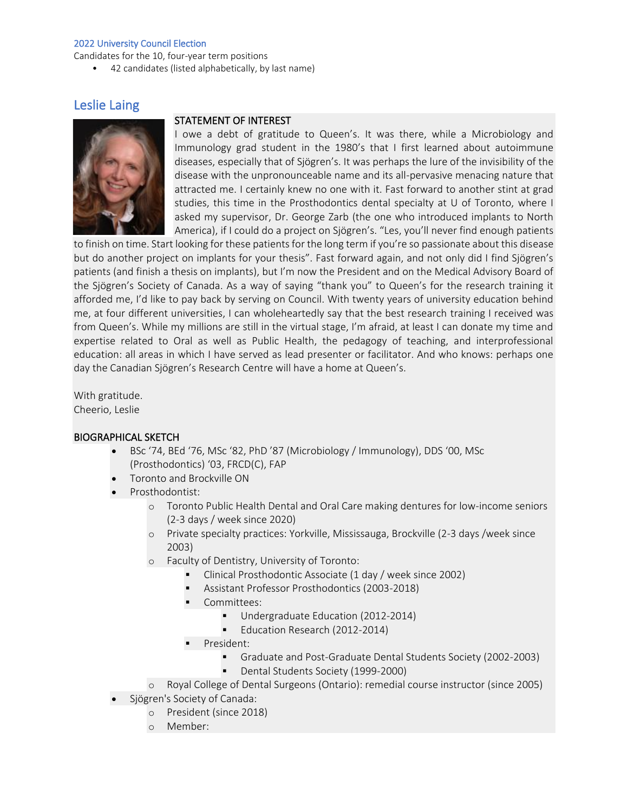Candidates for the 10, four-year term positions

• 42 candidates (listed alphabetically, by last name)

# Leslie Laing



### STATEMENT OF INTEREST

I owe a debt of gratitude to Queen's. It was there, while a Microbiology and Immunology grad student in the 1980's that I first learned about autoimmune diseases, especially that of Sjögren's. It was perhaps the lure of the invisibility of the disease with the unpronounceable name and its all-pervasive menacing nature that attracted me. I certainly knew no one with it. Fast forward to another stint at grad studies, this time in the Prosthodontics dental specialty at U of Toronto, where I asked my supervisor, Dr. George Zarb (the one who introduced implants to North America), if I could do a project on Sjögren's. "Les, you'll never find enough patients

to finish on time. Start looking for these patients for the long term if you're so passionate about this disease but do another project on implants for your thesis". Fast forward again, and not only did I find Sjögren's patients (and finish a thesis on implants), but I'm now the President and on the Medical Advisory Board of the Sjögren's Society of Canada. As a way of saying "thank you" to Queen's for the research training it afforded me, I'd like to pay back by serving on Council. With twenty years of university education behind me, at four different universities, I can wholeheartedly say that the best research training I received was from Queen's. While my millions are still in the virtual stage, I'm afraid, at least I can donate my time and expertise related to Oral as well as Public Health, the pedagogy of teaching, and interprofessional education: all areas in which I have served as lead presenter or facilitator. And who knows: perhaps one day the Canadian Sjögren's Research Centre will have a home at Queen's.

With gratitude. Cheerio, Leslie

### BIOGRAPHICAL SKETCH

- BSc '74, BEd '76, MSc '82, PhD '87 (Microbiology / Immunology), DDS '00, MSc (Prosthodontics) '03, FRCD(C), FAP
- Toronto and Brockville ON
- Prosthodontist:
	- o Toronto Public Health Dental and Oral Care making dentures for low-income seniors (2-3 days / week since 2020)
	- o Private specialty practices: Yorkville, Mississauga, Brockville (2-3 days /week since 2003)
	- o Faculty of Dentistry, University of Toronto:
		- Clinical Prosthodontic Associate (1 day / week since 2002)
		- Assistant Professor Prosthodontics (2003-2018)
		- Committees:
			- Undergraduate Education (2012-2014)
			- Education Research (2012-2014)
		- President:
			- Graduate and Post-Graduate Dental Students Society (2002-2003)
			- Dental Students Society (1999-2000)
	- o Royal College of Dental Surgeons (Ontario): remedial course instructor (since 2005)
- Sjögren's Society of Canada:
	- o President (since 2018)
	- o Member: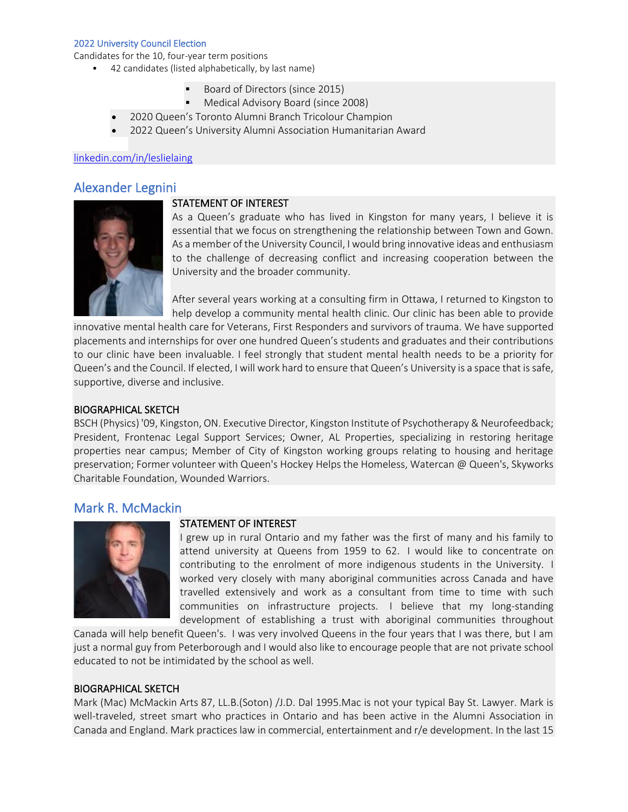Candidates for the 10, four-year term positions

- 42 candidates (listed alphabetically, by last name)
	- Board of Directors (since 2015)
	- Medical Advisory Board (since 2008)
	- 2020 Queen's Toronto Alumni Branch Tricolour Champion
	- 2022 Queen's University Alumni Association Humanitarian Award

### [linkedin.com/in/leslielaing](https://www.linkedin.com/in/leslielaing/?originalSubdomain=ca)

## Alexander Legnini



### STATEMENT OF INTEREST

As a Queen's graduate who has lived in Kingston for many years, I believe it is essential that we focus on strengthening the relationship between Town and Gown. As a member of the University Council, I would bring innovative ideas and enthusiasm to the challenge of decreasing conflict and increasing cooperation between the University and the broader community.

After several years working at a consulting firm in Ottawa, I returned to Kingston to help develop a community mental health clinic. Our clinic has been able to provide

innovative mental health care for Veterans, First Responders and survivors of trauma. We have supported placements and internships for over one hundred Queen's students and graduates and their contributions to our clinic have been invaluable. I feel strongly that student mental health needs to be a priority for Queen's and the Council. If elected, I will work hard to ensure that Queen's University is a space that is safe, supportive, diverse and inclusive.

### BIOGRAPHICAL SKETCH

BSCH (Physics) '09, Kingston, ON. Executive Director, Kingston Institute of Psychotherapy & Neurofeedback; President, Frontenac Legal Support Services; Owner, AL Properties, specializing in restoring heritage properties near campus; Member of City of Kingston working groups relating to housing and heritage preservation; Former volunteer with Queen's Hockey Helps the Homeless, Watercan @ Queen's, Skyworks Charitable Foundation, Wounded Warriors.

## Mark R. McMackin



### STATEMENT OF INTEREST

I grew up in rural Ontario and my father was the first of many and his family to attend university at Queens from 1959 to 62. I would like to concentrate on contributing to the enrolment of more indigenous students in the University. I worked very closely with many aboriginal communities across Canada and have travelled extensively and work as a consultant from time to time with such communities on infrastructure projects. I believe that my long-standing development of establishing a trust with aboriginal communities throughout

Canada will help benefit Queen's. I was very involved Queens in the four years that I was there, but I am just a normal guy from Peterborough and I would also like to encourage people that are not private school educated to not be intimidated by the school as well.

### BIOGRAPHICAL SKETCH

Mark (Mac) McMackin Arts 87, LL.B.(Soton) /J.D. Dal 1995.Mac is not your typical Bay St. Lawyer. Mark is well-traveled, street smart who practices in Ontario and has been active in the Alumni Association in Canada and England. Mark practices law in commercial, entertainment and r/e development. In the last 15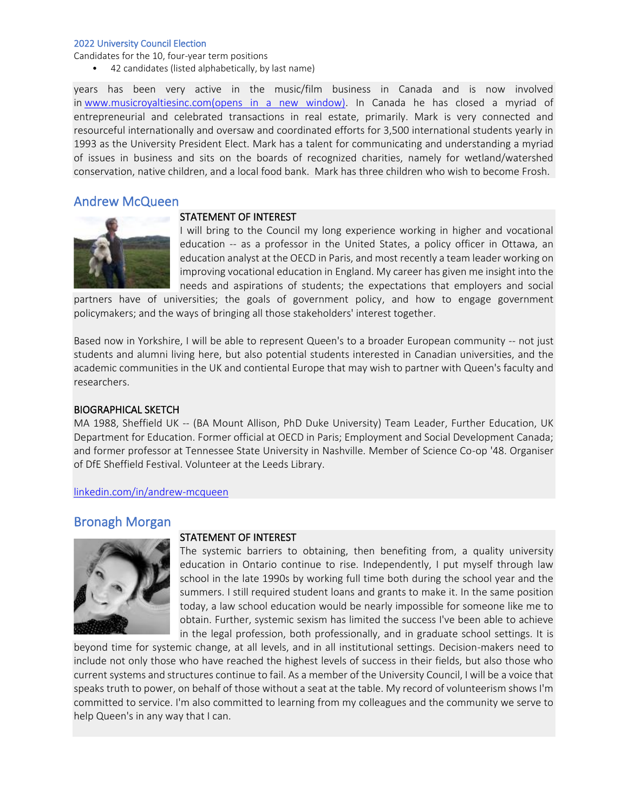Candidates for the 10, four-year term positions

• 42 candidates (listed alphabetically, by last name)

STATEMENT OF INTEREST

years has been very active in the music/film business in Canada and is now involved in [www.musicroyaltiesinc.com\(opens in a new window\).](http://www.musicroyaltiesinc.com/) In Canada he has closed a myriad of entrepreneurial and celebrated transactions in real estate, primarily. Mark is very connected and resourceful internationally and oversaw and coordinated efforts for 3,500 international students yearly in 1993 as the University President Elect. Mark has a talent for communicating and understanding a myriad of issues in business and sits on the boards of recognized charities, namely for wetland/watershed conservation, native children, and a local food bank. Mark has three children who wish to become Frosh.

## Andrew McQueen

I will bring to the Council my long experience working in higher and vocational education -- as a professor in the United States, a policy officer in Ottawa, an education analyst at the OECD in Paris, and most recently a team leader working on improving vocational education in England. My career has given me insight into the needs and aspirations of students; the expectations that employers and social

partners have of universities; the goals of government policy, and how to engage government policymakers; and the ways of bringing all those stakeholders' interest together.

Based now in Yorkshire, I will be able to represent Queen's to a broader European community -- not just students and alumni living here, but also potential students interested in Canadian universities, and the academic communities in the UK and contiental Europe that may wish to partner with Queen's faculty and researchers.

### BIOGRAPHICAL SKETCH

MA 1988, Sheffield UK -- (BA Mount Allison, PhD Duke University) Team Leader, Further Education, UK Department for Education. Former official at OECD in Paris; Employment and Social Development Canada; and former professor at Tennessee State University in Nashville. Member of Science Co-op '48. Organiser of DfE Sheffield Festival. Volunteer at the Leeds Library.

[linkedin.com/in/andrew-mcqueen](https://www.linkedin.com/in/andrew-mcqueen-122680b/)

## Bronagh Morgan



### STATEMENT OF INTEREST

The systemic barriers to obtaining, then benefiting from, a quality university education in Ontario continue to rise. Independently, I put myself through law school in the late 1990s by working full time both during the school year and the summers. I still required student loans and grants to make it. In the same position today, a law school education would be nearly impossible for someone like me to obtain. Further, systemic sexism has limited the success I've been able to achieve in the legal profession, both professionally, and in graduate school settings. It is

beyond time for systemic change, at all levels, and in all institutional settings. Decision-makers need to include not only those who have reached the highest levels of success in their fields, but also those who current systems and structures continue to fail. As a member of the University Council, I will be a voice that speaks truth to power, on behalf of those without a seat at the table. My record of volunteerism shows I'm committed to service. I'm also committed to learning from my colleagues and the community we serve to help Queen's in any way that I can.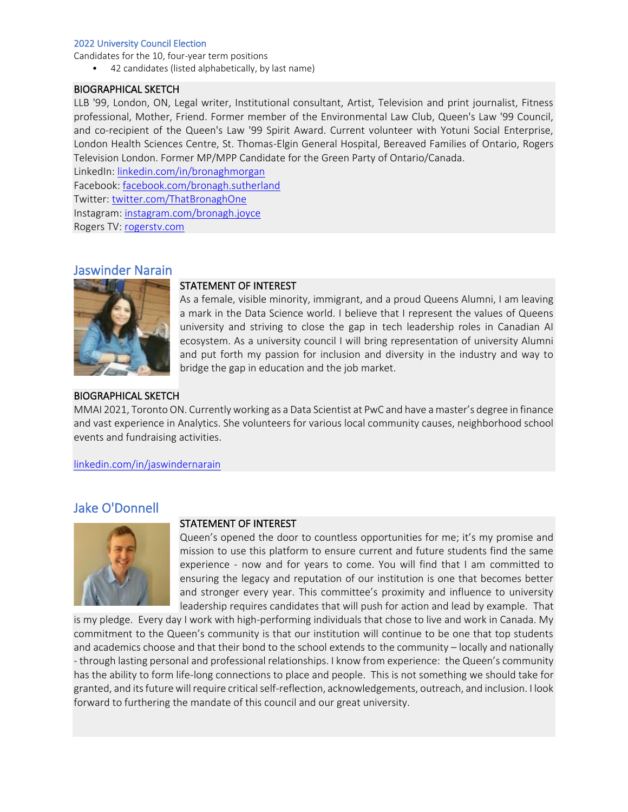Candidates for the 10, four-year term positions

• 42 candidates (listed alphabetically, by last name)

### BIOGRAPHICAL SKETCH

LLB '99, London, ON, Legal writer, Institutional consultant, Artist, Television and print journalist, Fitness professional, Mother, Friend. Former member of the Environmental Law Club, Queen's Law '99 Council, and co-recipient of the Queen's Law '99 Spirit Award. Current volunteer with Yotuni Social Enterprise, London Health Sciences Centre, St. Thomas-Elgin General Hospital, Bereaved Families of Ontario, Rogers Television London. Former MP/MPP Candidate for the Green Party of Ontario/Canada.

LinkedIn: [linkedin.com/in/bronaghmorgan](https://www.linkedin.com/in/bronaghmorgan/) Facebook: [facebook.com/bronagh.sutherland](https://www.facebook.com/bronagh.sutherland) Twitter: [twitter.com/ThatBronaghOne](https://twitter.com/ThatBronaghOne) Instagram: [instagram.com/bronagh.joyce](https://www.instagram.com/bronagh.joyce/) Rogers TV: [rogerstv.com](https://www.rogerstv.com/show?lid=12&rid=9&sid=4756)

## Jaswinder Narain



### STATEMENT OF INTEREST

As a female, visible minority, immigrant, and a proud Queens Alumni, I am leaving a mark in the Data Science world. I believe that I represent the values of Queens university and striving to close the gap in tech leadership roles in Canadian AI ecosystem. As a university council I will bring representation of university Alumni and put forth my passion for inclusion and diversity in the industry and way to bridge the gap in education and the job market.

### BIOGRAPHICAL SKETCH

MMAI 2021, Toronto ON. Currently working as a Data Scientist at PwC and have a master's degree in finance and vast experience in Analytics. She volunteers for various local community causes, neighborhood school events and fundraising activities.

[linkedin.com/in/jaswindernarain](https://www.linkedin.com/in/jaswindernarain/)

# Jake O'Donnell



## STATEMENT OF INTEREST

Queen's opened the door to countless opportunities for me; it's my promise and mission to use this platform to ensure current and future students find the same experience - now and for years to come. You will find that I am committed to ensuring the legacy and reputation of our institution is one that becomes better and stronger every year. This committee's proximity and influence to university leadership requires candidates that will push for action and lead by example. That

is my pledge. Every day I work with high-performing individuals that chose to live and work in Canada. My commitment to the Queen's community is that our institution will continue to be one that top students and academics choose and that their bond to the school extends to the community – locally and nationally - through lasting personal and professional relationships. I know from experience: the Queen's community has the ability to form life-long connections to place and people. This is not something we should take for granted, and its future will require critical self-reflection, acknowledgements, outreach, and inclusion. I look forward to furthering the mandate of this council and our great university.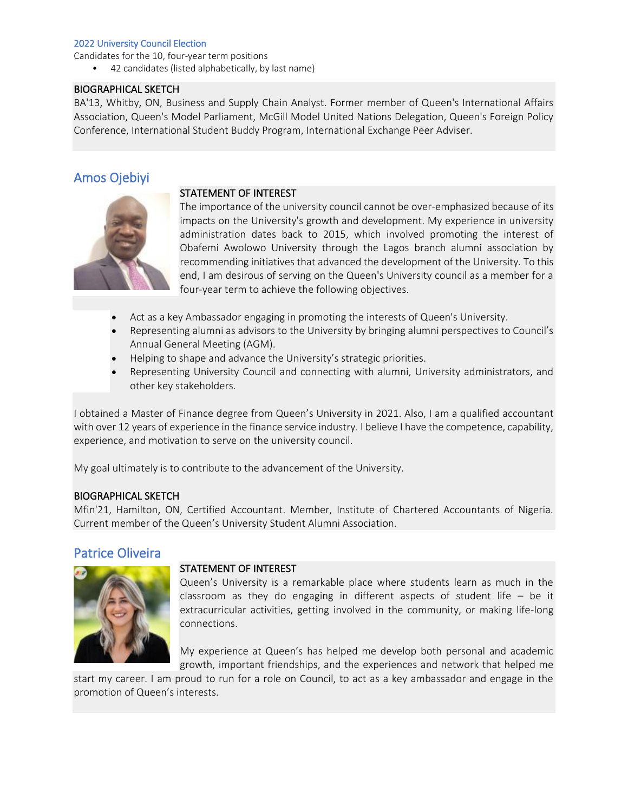Candidates for the 10, four-year term positions

• 42 candidates (listed alphabetically, by last name)

### BIOGRAPHICAL SKETCH

BA'13, Whitby, ON, Business and Supply Chain Analyst. Former member of Queen's International Affairs Association, Queen's Model Parliament, McGill Model United Nations Delegation, Queen's Foreign Policy Conference, International Student Buddy Program, International Exchange Peer Adviser.

# Amos Ojebiyi



### STATEMENT OF INTEREST

The importance of the university council cannot be over-emphasized because of its impacts on the University's growth and development. My experience in university administration dates back to 2015, which involved promoting the interest of Obafemi Awolowo University through the Lagos branch alumni association by recommending initiatives that advanced the development of the University. To this end, I am desirous of serving on the Queen's University council as a member for a four-year term to achieve the following objectives.

- Act as a key Ambassador engaging in promoting the interests of Queen's University.
- Representing alumni as advisors to the University by bringing alumni perspectives to Council's Annual General Meeting (AGM).
- Helping to shape and advance the University's strategic priorities.
- Representing University Council and connecting with alumni, University administrators, and other key stakeholders.

I obtained a Master of Finance degree from Queen's University in 2021. Also, I am a qualified accountant with over 12 years of experience in the finance service industry. I believe I have the competence, capability, experience, and motivation to serve on the university council.

My goal ultimately is to contribute to the advancement of the University.

### BIOGRAPHICAL SKETCH

Mfin'21, Hamilton, ON, Certified Accountant. Member, Institute of Chartered Accountants of Nigeria. Current member of the Queen's University Student Alumni Association.

## Patrice Oliveira



### STATEMENT OF INTEREST

Queen's University is a remarkable place where students learn as much in the classroom as they do engaging in different aspects of student life – be it extracurricular activities, getting involved in the community, or making life-long connections.

My experience at Queen's has helped me develop both personal and academic growth, important friendships, and the experiences and network that helped me

start my career. I am proud to run for a role on Council, to act as a key ambassador and engage in the promotion of Queen's interests.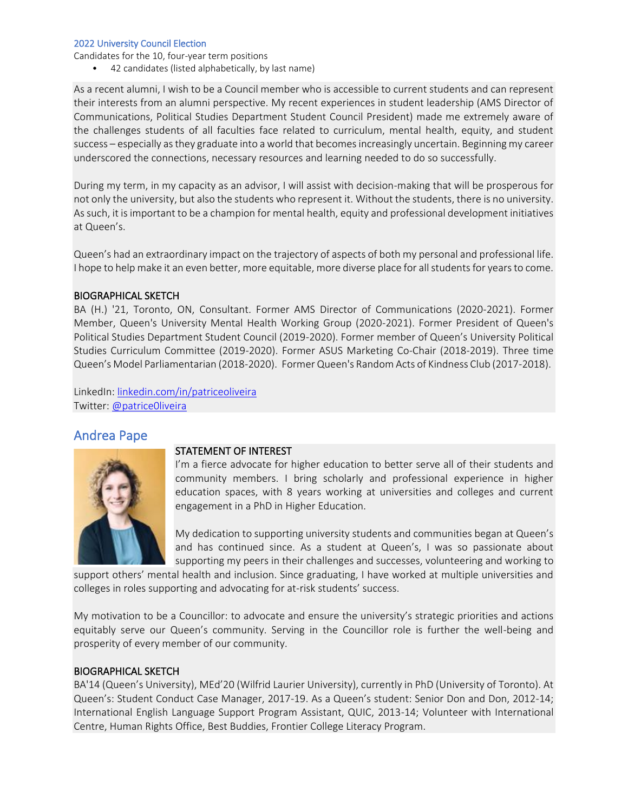Candidates for the 10, four-year term positions

• 42 candidates (listed alphabetically, by last name)

As a recent alumni, I wish to be a Council member who is accessible to current students and can represent their interests from an alumni perspective. My recent experiences in student leadership (AMS Director of Communications, Political Studies Department Student Council President) made me extremely aware of the challenges students of all faculties face related to curriculum, mental health, equity, and student success – especially as they graduate into a world that becomes increasingly uncertain. Beginning my career underscored the connections, necessary resources and learning needed to do so successfully.

During my term, in my capacity as an advisor, I will assist with decision-making that will be prosperous for not only the university, but also the students who represent it. Without the students, there is no university. As such, it is important to be a champion for mental health, equity and professional development initiatives at Queen's.

Queen's had an extraordinary impact on the trajectory of aspects of both my personal and professional life. I hope to help make it an even better, more equitable, more diverse place for all students for years to come.

### BIOGRAPHICAL SKETCH

BA (H.) '21, Toronto, ON, Consultant. Former AMS Director of Communications (2020-2021). Former Member, Queen's University Mental Health Working Group (2020-2021). Former President of Queen's Political Studies Department Student Council (2019-2020). Former member of Queen's University Political Studies Curriculum Committee (2019-2020). Former ASUS Marketing Co-Chair (2018-2019). Three time Queen's Model Parliamentarian (2018-2020). Former Queen's Random Acts of Kindness Club (2017-2018).

LinkedIn: [linkedin.com/in/patriceoliveira](https://www.linkedin.com/in/patriceoliveira17/) Twitter: [@patrice0liveira](https://twitter.com/patrice0liveira)

## Andrea Pape



### STATEMENT OF INTEREST

I'm a fierce advocate for higher education to better serve all of their students and community members. I bring scholarly and professional experience in higher education spaces, with 8 years working at universities and colleges and current engagement in a PhD in Higher Education.

My dedication to supporting university students and communities began at Queen's and has continued since. As a student at Queen's, I was so passionate about supporting my peers in their challenges and successes, volunteering and working to

support others' mental health and inclusion. Since graduating, I have worked at multiple universities and colleges in roles supporting and advocating for at-risk students' success.

My motivation to be a Councillor: to advocate and ensure the university's strategic priorities and actions equitably serve our Queen's community. Serving in the Councillor role is further the well-being and prosperity of every member of our community.

### BIOGRAPHICAL SKETCH

BA'14 (Queen's University), MEd'20 (Wilfrid Laurier University), currently in PhD (University of Toronto). At Queen's: Student Conduct Case Manager, 2017-19. As a Queen's student: Senior Don and Don, 2012-14; International English Language Support Program Assistant, QUIC, 2013-14; Volunteer with International Centre, Human Rights Office, Best Buddies, Frontier College Literacy Program.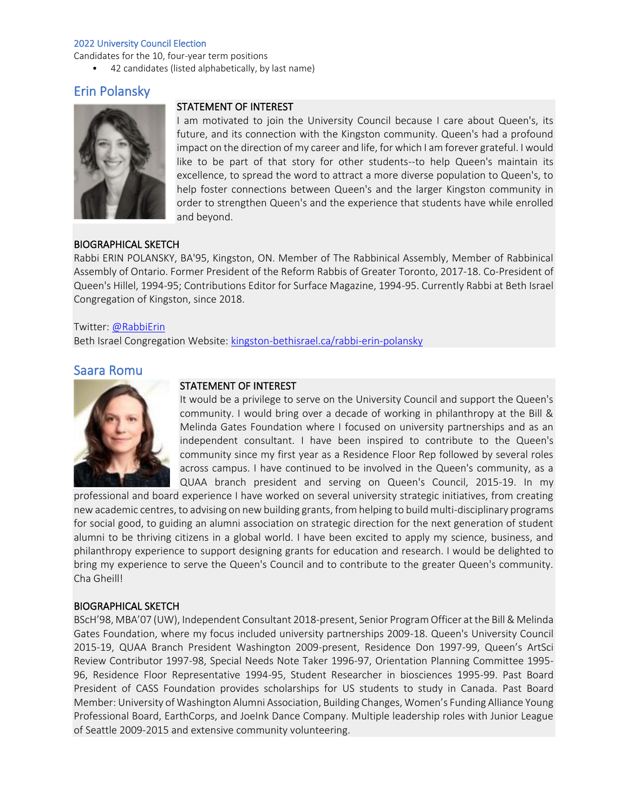Candidates for the 10, four-year term positions

• 42 candidates (listed alphabetically, by last name)

# Erin Polansky



### STATEMENT OF INTEREST

I am motivated to join the University Council because I care about Queen's, its future, and its connection with the Kingston community. Queen's had a profound impact on the direction of my career and life, for which I am forever grateful. I would like to be part of that story for other students--to help Queen's maintain its excellence, to spread the word to attract a more diverse population to Queen's, to help foster connections between Queen's and the larger Kingston community in order to strengthen Queen's and the experience that students have while enrolled and beyond.

### BIOGRAPHICAL SKETCH

Rabbi ERIN POLANSKY, BA'95, Kingston, ON. Member of The Rabbinical Assembly, Member of Rabbinical Assembly of Ontario. Former President of the Reform Rabbis of Greater Toronto, 2017-18. Co-President of Queen's Hillel, 1994-95; Contributions Editor for Surface Magazine, 1994-95. Currently Rabbi at Beth Israel Congregation of Kingston, since 2018.

### Twitter: [@RabbiErin](https://twitter.com/rabbierin?lang=en)

Beth Israel Congregation Website: [kingston-bethisrael.ca/rabbi-erin-polansky](https://www.kingston-bethisrael.ca/rabbi-erin-polansky.html)

## Saara Romu



## STATEMENT OF INTEREST

It would be a privilege to serve on the University Council and support the Queen's community. I would bring over a decade of working in philanthropy at the Bill & Melinda Gates Foundation where I focused on university partnerships and as an independent consultant. I have been inspired to contribute to the Queen's community since my first year as a Residence Floor Rep followed by several roles across campus. I have continued to be involved in the Queen's community, as a QUAA branch president and serving on Queen's Council, 2015-19. In my

professional and board experience I have worked on several university strategic initiatives, from creating new academic centres, to advising on new building grants, from helping to build multi-disciplinary programs for social good, to guiding an alumni association on strategic direction for the next generation of student alumni to be thriving citizens in a global world. I have been excited to apply my science, business, and philanthropy experience to support designing grants for education and research. I would be delighted to bring my experience to serve the Queen's Council and to contribute to the greater Queen's community. Cha Gheill!

### BIOGRAPHICAL SKETCH

BScH'98, MBA'07 (UW), Independent Consultant 2018-present, Senior Program Officer at the Bill & Melinda Gates Foundation, where my focus included university partnerships 2009-18. Queen's University Council 2015-19, QUAA Branch President Washington 2009-present, Residence Don 1997-99, Queen's ArtSci Review Contributor 1997-98, Special Needs Note Taker 1996-97, Orientation Planning Committee 1995- 96, Residence Floor Representative 1994-95, Student Researcher in biosciences 1995-99. Past Board President of CASS Foundation provides scholarships for US students to study in Canada. Past Board Member: University of Washington Alumni Association, Building Changes, Women's Funding Alliance Young Professional Board, EarthCorps, and JoeInk Dance Company. Multiple leadership roles with Junior League of Seattle 2009-2015 and extensive community volunteering.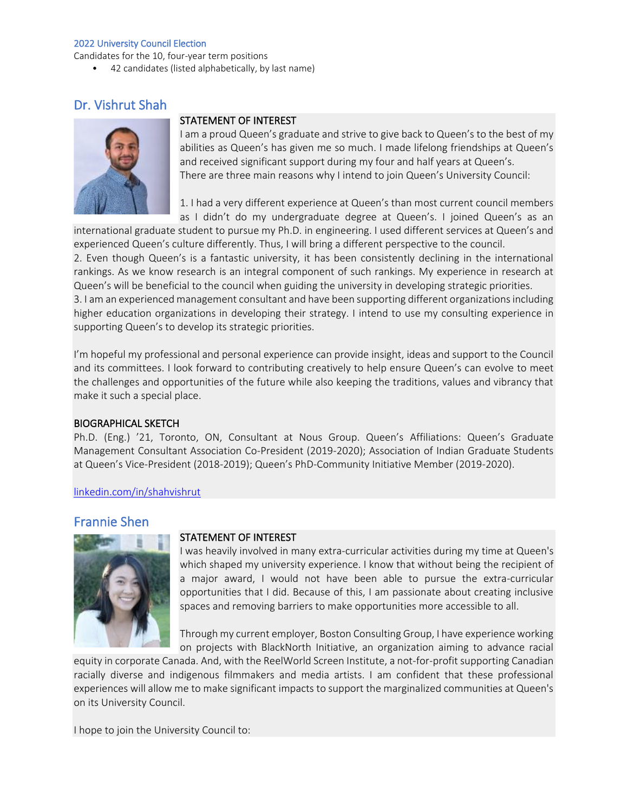Candidates for the 10, four-year term positions

• 42 candidates (listed alphabetically, by last name)

# Dr. Vishrut Shah



## STATEMENT OF INTEREST

I am a proud Queen's graduate and strive to give back to Queen's to the best of my abilities as Queen's has given me so much. I made lifelong friendships at Queen's and received significant support during my four and half years at Queen's. There are three main reasons why I intend to join Queen's University Council:

1. I had a very different experience at Queen's than most current council members as I didn't do my undergraduate degree at Queen's. I joined Queen's as an

international graduate student to pursue my Ph.D. in engineering. I used different services at Queen's and experienced Queen's culture differently. Thus, I will bring a different perspective to the council. 2. Even though Queen's is a fantastic university, it has been consistently declining in the international rankings. As we know research is an integral component of such rankings. My experience in research at Queen's will be beneficial to the council when guiding the university in developing strategic priorities. 3. I am an experienced management consultant and have been supporting different organizations including higher education organizations in developing their strategy. I intend to use my consulting experience in supporting Queen's to develop its strategic priorities.

I'm hopeful my professional and personal experience can provide insight, ideas and support to the Council and its committees. I look forward to contributing creatively to help ensure Queen's can evolve to meet the challenges and opportunities of the future while also keeping the traditions, values and vibrancy that make it such a special place.

### BIOGRAPHICAL SKETCH

Ph.D. (Eng.) '21, Toronto, ON, Consultant at Nous Group. Queen's Affiliations: Queen's Graduate Management Consultant Association Co-President (2019-2020); Association of Indian Graduate Students at Queen's Vice-President (2018-2019); Queen's PhD-Community Initiative Member (2019-2020).

### [linkedin.com/in/shahvishrut](https://www.linkedin.com/in/shahvishrut/)

# Frannie Shen



### STATEMENT OF INTEREST

I was heavily involved in many extra-curricular activities during my time at Queen's which shaped my university experience. I know that without being the recipient of a major award, I would not have been able to pursue the extra-curricular opportunities that I did. Because of this, I am passionate about creating inclusive spaces and removing barriers to make opportunities more accessible to all.

Through my current employer, Boston Consulting Group, I have experience working on projects with BlackNorth Initiative, an organization aiming to advance racial

equity in corporate Canada. And, with the ReelWorld Screen Institute, a not-for-profit supporting Canadian racially diverse and indigenous filmmakers and media artists. I am confident that these professional experiences will allow me to make significant impacts to support the marginalized communities at Queen's on its University Council.

I hope to join the University Council to: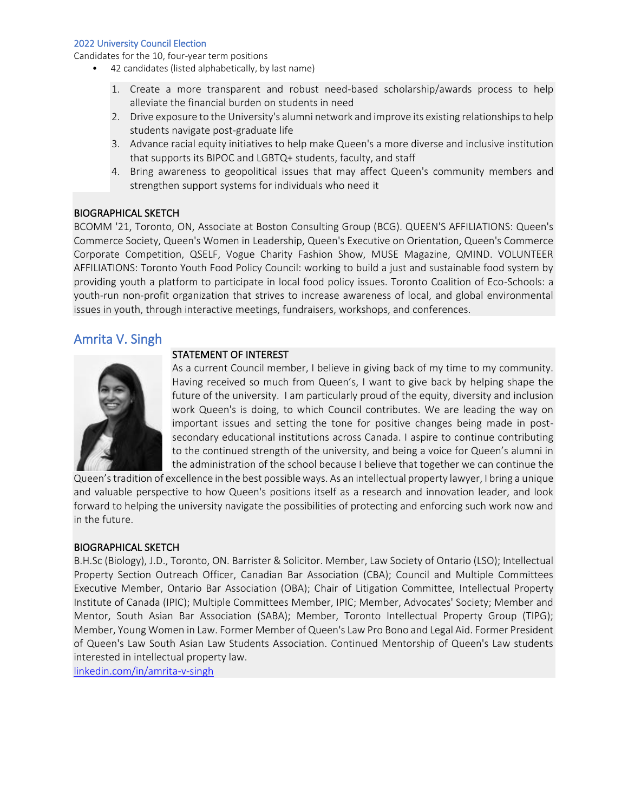Candidates for the 10, four-year term positions

- 42 candidates (listed alphabetically, by last name)
	- 1. Create a more transparent and robust need-based scholarship/awards process to help alleviate the financial burden on students in need
	- 2. Drive exposure to the University's alumni network and improve its existing relationships to help students navigate post-graduate life
	- 3. Advance racial equity initiatives to help make Queen's a more diverse and inclusive institution that supports its BIPOC and LGBTQ+ students, faculty, and staff
	- 4. Bring awareness to geopolitical issues that may affect Queen's community members and strengthen support systems for individuals who need it

### BIOGRAPHICAL SKETCH

BCOMM '21, Toronto, ON, Associate at Boston Consulting Group (BCG). QUEEN'S AFFILIATIONS: Queen's Commerce Society, Queen's Women in Leadership, Queen's Executive on Orientation, Queen's Commerce Corporate Competition, QSELF, Vogue Charity Fashion Show, MUSE Magazine, QMIND. VOLUNTEER AFFILIATIONS: Toronto Youth Food Policy Council: working to build a just and sustainable food system by providing youth a platform to participate in local food policy issues. Toronto Coalition of Eco-Schools: a youth-run non-profit organization that strives to increase awareness of local, and global environmental issues in youth, through interactive meetings, fundraisers, workshops, and conferences.

## Amrita V. Singh



## STATEMENT OF INTEREST As a current Council member, I believe in giving back of my time to my community. Having received so much from Queen's, I want to give back by helping shape the future of the university. I am particularly proud of the equity, diversity and inclusion work Queen's is doing, to which Council contributes. We are leading the way on important issues and setting the tone for positive changes being made in post-

secondary educational institutions across Canada. I aspire to continue contributing to the continued strength of the university, and being a voice for Queen's alumni in the administration of the school because I believe that together we can continue the

Queen's tradition of excellence in the best possible ways. As an intellectual property lawyer, I bring a unique and valuable perspective to how Queen's positions itself as a research and innovation leader, and look forward to helping the university navigate the possibilities of protecting and enforcing such work now and in the future.

### BIOGRAPHICAL SKETCH

B.H.Sc (Biology), J.D., Toronto, ON. Barrister & Solicitor. Member, Law Society of Ontario (LSO); Intellectual Property Section Outreach Officer, Canadian Bar Association (CBA); Council and Multiple Committees Executive Member, Ontario Bar Association (OBA); Chair of Litigation Committee, Intellectual Property Institute of Canada (IPIC); Multiple Committees Member, IPIC; Member, Advocates' Society; Member and Mentor, South Asian Bar Association (SABA); Member, Toronto Intellectual Property Group (TIPG); Member, Young Women in Law. Former Member of Queen's Law Pro Bono and Legal Aid. Former President of Queen's Law South Asian Law Students Association. Continued Mentorship of Queen's Law students interested in intellectual property law.

[linkedin.com/in/amrita-v-singh](https://ca.linkedin.com/in/amrita-v-singh-51a46784)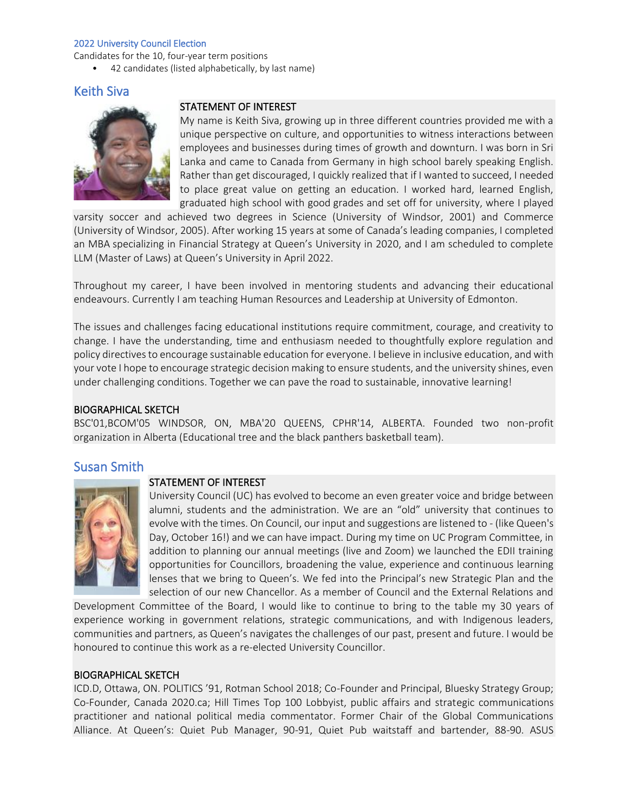Candidates for the 10, four-year term positions

• 42 candidates (listed alphabetically, by last name)

# Keith Siva



## STATEMENT OF INTEREST

My name is Keith Siva, growing up in three different countries provided me with a unique perspective on culture, and opportunities to witness interactions between employees and businesses during times of growth and downturn. I was born in Sri Lanka and came to Canada from Germany in high school barely speaking English. Rather than get discouraged, I quickly realized that if I wanted to succeed, I needed to place great value on getting an education. I worked hard, learned English, graduated high school with good grades and set off for university, where I played

varsity soccer and achieved two degrees in Science (University of Windsor, 2001) and Commerce (University of Windsor, 2005). After working 15 years at some of Canada's leading companies, I completed an MBA specializing in Financial Strategy at Queen's University in 2020, and I am scheduled to complete LLM (Master of Laws) at Queen's University in April 2022.

Throughout my career, I have been involved in mentoring students and advancing their educational endeavours. Currently I am teaching Human Resources and Leadership at University of Edmonton.

The issues and challenges facing educational institutions require commitment, courage, and creativity to change. I have the understanding, time and enthusiasm needed to thoughtfully explore regulation and policy directives to encourage sustainable education for everyone. I believe in inclusive education, and with your vote I hope to encourage strategic decision making to ensure students, and the university shines, even under challenging conditions. Together we can pave the road to sustainable, innovative learning!

### BIOGRAPHICAL SKETCH

BSC'01,BCOM'05 WINDSOR, ON, MBA'20 QUEENS, CPHR'14, ALBERTA. Founded two non-profit organization in Alberta (Educational tree and the black panthers basketball team).

## Susan Smith



## STATEMENT OF INTEREST

University Council (UC) has evolved to become an even greater voice and bridge between alumni, students and the administration. We are an "old" university that continues to evolve with the times. On Council, our input and suggestions are listened to - (like Queen's Day, October 16!) and we can have impact. During my time on UC Program Committee, in addition to planning our annual meetings (live and Zoom) we launched the EDII training opportunities for Councillors, broadening the value, experience and continuous learning lenses that we bring to Queen's. We fed into the Principal's new Strategic Plan and the selection of our new Chancellor. As a member of Council and the External Relations and

Development Committee of the Board, I would like to continue to bring to the table my 30 years of experience working in government relations, strategic communications, and with Indigenous leaders, communities and partners, as Queen's navigates the challenges of our past, present and future. I would be honoured to continue this work as a re-elected University Councillor.

### BIOGRAPHICAL SKETCH

ICD.D, Ottawa, ON. POLITICS '91, Rotman School 2018; Co-Founder and Principal, Bluesky Strategy Group; Co-Founder, Canada 2020.ca; Hill Times Top 100 Lobbyist, public affairs and strategic communications practitioner and national political media commentator. Former Chair of the Global Communications Alliance. At Queen's: Quiet Pub Manager, 90-91, Quiet Pub waitstaff and bartender, 88-90. ASUS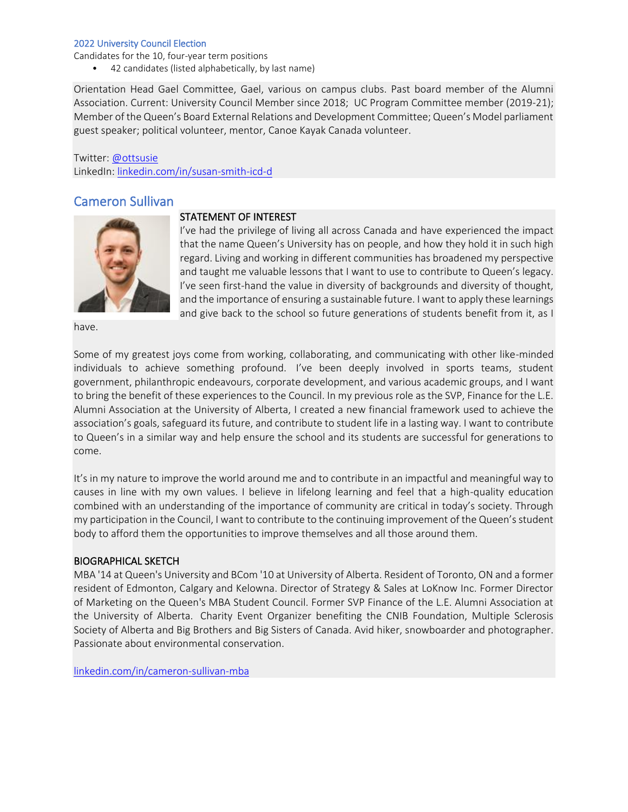Candidates for the 10, four-year term positions

• 42 candidates (listed alphabetically, by last name)

Orientation Head Gael Committee, Gael, various on campus clubs. Past board member of the Alumni Association. Current: University Council Member since 2018; UC Program Committee member (2019-21); Member of the Queen's Board External Relations and Development Committee; Queen's Model parliament guest speaker; political volunteer, mentor, Canoe Kayak Canada volunteer.

Twitter: [@ottsusie](https://twitter.com/susansmithott) LinkedIn: [linkedin.com/in/susan-smith-icd-d](https://www.linkedin.com/in/susan-smith-icd-d-aa673813/)

# Cameron Sullivan



### STATEMENT OF INTEREST

I've had the privilege of living all across Canada and have experienced the impact that the name Queen's University has on people, and how they hold it in such high regard. Living and working in different communities has broadened my perspective and taught me valuable lessons that I want to use to contribute to Queen's legacy. I've seen first-hand the value in diversity of backgrounds and diversity of thought, and the importance of ensuring a sustainable future. I want to apply these learnings and give back to the school so future generations of students benefit from it, as I

have.

Some of my greatest joys come from working, collaborating, and communicating with other like-minded individuals to achieve something profound. I've been deeply involved in sports teams, student government, philanthropic endeavours, corporate development, and various academic groups, and I want to bring the benefit of these experiences to the Council. In my previous role as the SVP, Finance for the L.E. Alumni Association at the University of Alberta, I created a new financial framework used to achieve the association's goals, safeguard its future, and contribute to student life in a lasting way. I want to contribute to Queen's in a similar way and help ensure the school and its students are successful for generations to come.

It's in my nature to improve the world around me and to contribute in an impactful and meaningful way to causes in line with my own values. I believe in lifelong learning and feel that a high-quality education combined with an understanding of the importance of community are critical in today's society. Through my participation in the Council, I want to contribute to the continuing improvement of the Queen's student body to afford them the opportunities to improve themselves and all those around them.

### BIOGRAPHICAL SKETCH

MBA '14 at Queen's University and BCom '10 at University of Alberta. Resident of Toronto, ON and a former resident of Edmonton, Calgary and Kelowna. Director of Strategy & Sales at LoKnow Inc. Former Director of Marketing on the Queen's MBA Student Council. Former SVP Finance of the L.E. Alumni Association at the University of Alberta. Charity Event Organizer benefiting the CNIB Foundation, Multiple Sclerosis Society of Alberta and Big Brothers and Big Sisters of Canada. Avid hiker, snowboarder and photographer. Passionate about environmental conservation.

[linkedin.com/in/cameron-sullivan-mba](https://www.linkedin.com/in/cameron-sullivan-mba-76a27171/)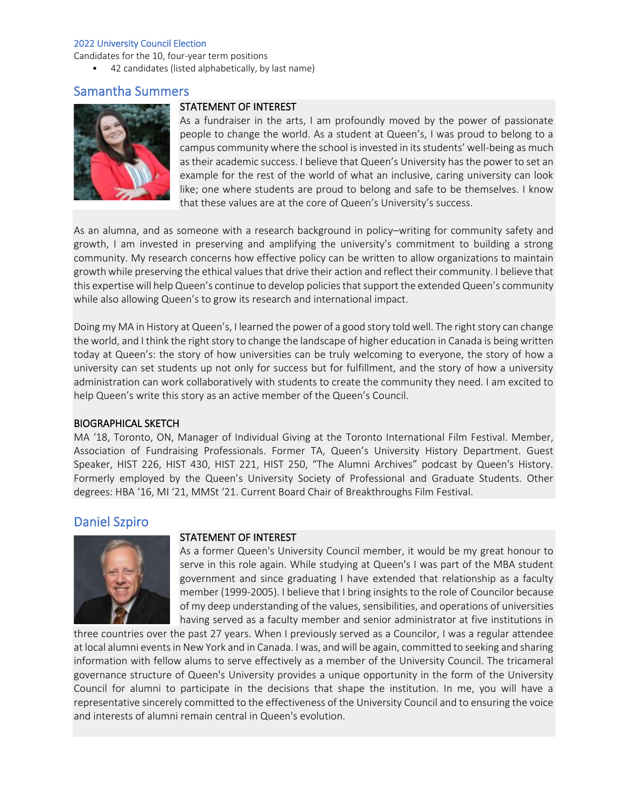Candidates for the 10, four-year term positions

• 42 candidates (listed alphabetically, by last name)

## Samantha Summers



### STATEMENT OF INTEREST

As a fundraiser in the arts, I am profoundly moved by the power of passionate people to change the world. As a student at Queen's, I was proud to belong to a campus community where the school is invested in its students' well-being as much as their academic success. I believe that Queen's University has the power to set an example for the rest of the world of what an inclusive, caring university can look like; one where students are proud to belong and safe to be themselves. I know that these values are at the core of Queen's University's success.

As an alumna, and as someone with a research background in policy–writing for community safety and growth, I am invested in preserving and amplifying the university's commitment to building a strong community. My research concerns how effective policy can be written to allow organizations to maintain growth while preserving the ethical values that drive their action and reflect their community. I believe that this expertise will help Queen's continue to develop policies that support the extended Queen's community while also allowing Queen's to grow its research and international impact.

Doing my MA in History at Queen's, I learned the power of a good story told well. The right story can change the world, and I think the right story to change the landscape of higher education in Canada is being written today at Queen's: the story of how universities can be truly welcoming to everyone, the story of how a university can set students up not only for success but for fulfillment, and the story of how a university administration can work collaboratively with students to create the community they need. I am excited to help Queen's write this story as an active member of the Queen's Council.

### BIOGRAPHICAL SKETCH

MA '18, Toronto, ON, Manager of Individual Giving at the Toronto International Film Festival. Member, Association of Fundraising Professionals. Former TA, Queen's University History Department. Guest Speaker, HIST 226, HIST 430, HIST 221, HIST 250, "The Alumni Archives" podcast by Queen's History. Formerly employed by the Queen's University Society of Professional and Graduate Students. Other degrees: HBA '16, MI '21, MMSt '21. Current Board Chair of Breakthroughs Film Festival.

## Daniel Szpiro



### STATEMENT OF INTEREST

As a former Queen's University Council member, it would be my great honour to serve in this role again. While studying at Queen's I was part of the MBA student government and since graduating I have extended that relationship as a faculty member (1999-2005). I believe that I bring insights to the role of Councilor because of my deep understanding of the values, sensibilities, and operations of universities having served as a faculty member and senior administrator at five institutions in

three countries over the past 27 years. When I previously served as a Councilor, I was a regular attendee at local alumni events in New York and in Canada. I was, and will be again, committed to seeking and sharing information with fellow alums to serve effectively as a member of the University Council. The tricameral governance structure of Queen's University provides a unique opportunity in the form of the University Council for alumni to participate in the decisions that shape the institution. In me, you will have a representative sincerely committed to the effectiveness of the University Council and to ensuring the voice and interests of alumni remain central in Queen's evolution.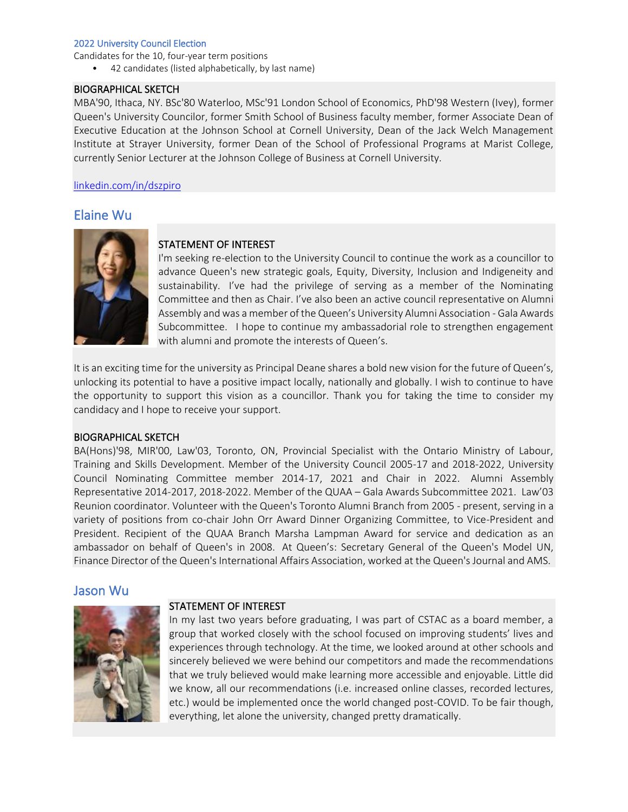Candidates for the 10, four-year term positions

• 42 candidates (listed alphabetically, by last name)

### BIOGRAPHICAL SKETCH

MBA'90, Ithaca, NY. BSc'80 Waterloo, MSc'91 London School of Economics, PhD'98 Western (Ivey), former Queen's University Councilor, former Smith School of Business faculty member, former Associate Dean of Executive Education at the Johnson School at Cornell University, Dean of the Jack Welch Management Institute at Strayer University, former Dean of the School of Professional Programs at Marist College, currently Senior Lecturer at the Johnson College of Business at Cornell University.

### [linkedin.com/in/dszpiro](https://www.linkedin.com/in/dszpiro/)

# Elaine Wu



## STATEMENT OF INTEREST

I'm seeking re-election to the University Council to continue the work as a councillor to advance Queen's new strategic goals, Equity, Diversity, Inclusion and Indigeneity and sustainability. I've had the privilege of serving as a member of the Nominating Committee and then as Chair. I've also been an active council representative on Alumni Assembly and was a member of the Queen's University Alumni Association - Gala Awards Subcommittee. I hope to continue my ambassadorial role to strengthen engagement with alumni and promote the interests of Queen's.

It is an exciting time for the university as Principal Deane shares a bold new vision for the future of Queen's, unlocking its potential to have a positive impact locally, nationally and globally. I wish to continue to have the opportunity to support this vision as a councillor. Thank you for taking the time to consider my candidacy and I hope to receive your support.

### BIOGRAPHICAL SKETCH

BA(Hons)'98, MIR'00, Law'03, Toronto, ON, Provincial Specialist with the Ontario Ministry of Labour, Training and Skills Development. Member of the University Council 2005-17 and 2018-2022, University Council Nominating Committee member 2014-17, 2021 and Chair in 2022. Alumni Assembly Representative 2014-2017, 2018-2022. Member of the QUAA – Gala Awards Subcommittee 2021. Law'03 Reunion coordinator. Volunteer with the Queen's Toronto Alumni Branch from 2005 - present, serving in a variety of positions from co-chair John Orr Award Dinner Organizing Committee, to Vice-President and President. Recipient of the QUAA Branch Marsha Lampman Award for service and dedication as an ambassador on behalf of Queen's in 2008. At Queen's: Secretary General of the Queen's Model UN, Finance Director of the Queen's International Affairs Association, worked at the Queen's Journal and AMS.

## Jason Wu



### STATEMENT OF INTEREST

In my last two years before graduating, I was part of CSTAC as a board member, a group that worked closely with the school focused on improving students' lives and experiences through technology. At the time, we looked around at other schools and sincerely believed we were behind our competitors and made the recommendations that we truly believed would make learning more accessible and enjoyable. Little did we know, all our recommendations (i.e. increased online classes, recorded lectures, etc.) would be implemented once the world changed post-COVID. To be fair though, everything, let alone the university, changed pretty dramatically.